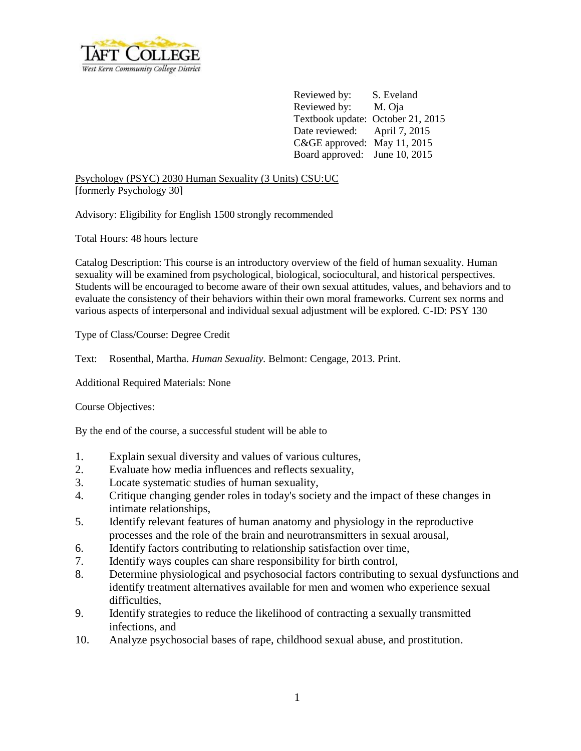

Reviewed by: S. Eveland Reviewed by: M. Oja Textbook update: October 21, 2015 Date reviewed: April 7, 2015 C&GE approved: May 11, 2015 Board approved: June 10, 2015

Psychology (PSYC) 2030 Human Sexuality (3 Units) CSU:UC [formerly Psychology 30]

Advisory: Eligibility for English 1500 strongly recommended

Total Hours: 48 hours lecture

Catalog Description: This course is an introductory overview of the field of human sexuality. Human sexuality will be examined from psychological, biological, sociocultural, and historical perspectives. Students will be encouraged to become aware of their own sexual attitudes, values, and behaviors and to evaluate the consistency of their behaviors within their own moral frameworks. Current sex norms and various aspects of interpersonal and individual sexual adjustment will be explored. C-ID: PSY 130

Type of Class/Course: Degree Credit

Text: Rosenthal, Martha. *Human Sexuality.* Belmont: Cengage, 2013. Print.

Additional Required Materials: None

Course Objectives:

By the end of the course, a successful student will be able to

- 1. Explain sexual diversity and values of various cultures,
- 2. Evaluate how media influences and reflects sexuality,
- 3. Locate systematic studies of human sexuality,
- 4. Critique changing gender roles in today's society and the impact of these changes in intimate relationships,
- 5. Identify relevant features of human anatomy and physiology in the reproductive processes and the role of the brain and neurotransmitters in sexual arousal,
- 6. Identify factors contributing to relationship satisfaction over time,
- 7. Identify ways couples can share responsibility for birth control,
- 8. Determine physiological and psychosocial factors contributing to sexual dysfunctions and identify treatment alternatives available for men and women who experience sexual difficulties,
- 9. Identify strategies to reduce the likelihood of contracting a sexually transmitted infections, and
- 10. Analyze psychosocial bases of rape, childhood sexual abuse, and prostitution.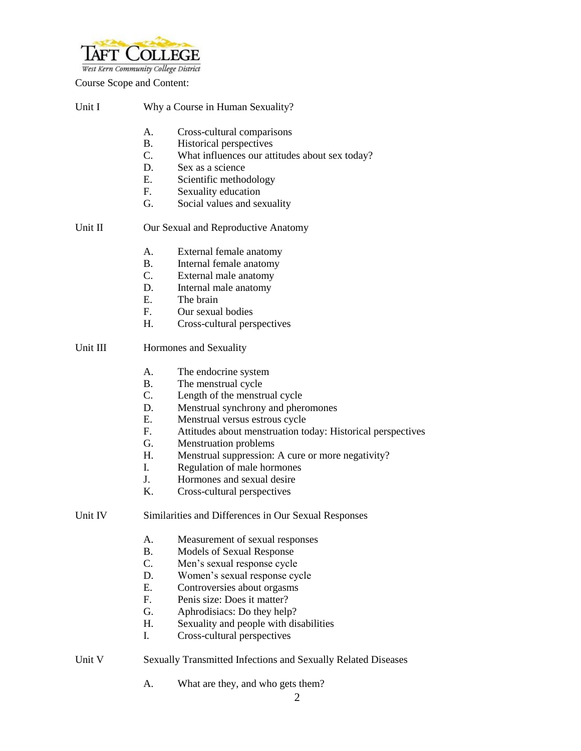

Course Scope and Content:

| Unit I   |                                                               | Why a Course in Human Sexuality?                            |  |  |  |
|----------|---------------------------------------------------------------|-------------------------------------------------------------|--|--|--|
|          | Α.                                                            | Cross-cultural comparisons                                  |  |  |  |
|          | <b>B.</b>                                                     | Historical perspectives                                     |  |  |  |
|          | $C_{\cdot}$                                                   | What influences our attitudes about sex today?              |  |  |  |
|          | D.                                                            | Sex as a science                                            |  |  |  |
|          | E.                                                            | Scientific methodology                                      |  |  |  |
|          | F.                                                            | Sexuality education                                         |  |  |  |
|          | G.                                                            | Social values and sexuality                                 |  |  |  |
| Unit II  | Our Sexual and Reproductive Anatomy                           |                                                             |  |  |  |
|          | A.                                                            | External female anatomy                                     |  |  |  |
|          | <b>B.</b>                                                     | Internal female anatomy                                     |  |  |  |
|          | C.                                                            | External male anatomy                                       |  |  |  |
|          | D.                                                            | Internal male anatomy                                       |  |  |  |
|          | $E_{\cdot}$                                                   | The brain                                                   |  |  |  |
|          | F <sub>r</sub>                                                | Our sexual bodies                                           |  |  |  |
|          | H.                                                            | Cross-cultural perspectives                                 |  |  |  |
| Unit III | Hormones and Sexuality                                        |                                                             |  |  |  |
|          | A.                                                            | The endocrine system                                        |  |  |  |
|          | <b>B.</b>                                                     | The menstrual cycle                                         |  |  |  |
|          | $C_{\cdot}$                                                   | Length of the menstrual cycle                               |  |  |  |
|          | D.                                                            | Menstrual synchrony and pheromones                          |  |  |  |
|          | E.                                                            | Menstrual versus estrous cycle                              |  |  |  |
|          | F.                                                            | Attitudes about menstruation today: Historical perspectives |  |  |  |
|          | G.                                                            | <b>Menstruation problems</b>                                |  |  |  |
|          | H.                                                            | Menstrual suppression: A cure or more negativity?           |  |  |  |
|          | I.                                                            | Regulation of male hormones                                 |  |  |  |
|          | J.                                                            | Hormones and sexual desire                                  |  |  |  |
|          | Κ.                                                            | Cross-cultural perspectives                                 |  |  |  |
| Unit IV  | Similarities and Differences in Our Sexual Responses          |                                                             |  |  |  |
|          | А.                                                            | Measurement of sexual responses                             |  |  |  |
|          | <b>B.</b>                                                     | <b>Models of Sexual Response</b>                            |  |  |  |
|          | C.                                                            | Men's sexual response cycle                                 |  |  |  |
|          | D.                                                            | Women's sexual response cycle                               |  |  |  |
|          | E.                                                            | Controversies about orgasms                                 |  |  |  |
|          | F <sub>r</sub>                                                | Penis size: Does it matter?                                 |  |  |  |
|          | G.                                                            | Aphrodisiacs: Do they help?                                 |  |  |  |
|          | H.                                                            | Sexuality and people with disabilities                      |  |  |  |
|          | I.                                                            | Cross-cultural perspectives                                 |  |  |  |
| Unit V   | Sexually Transmitted Infections and Sexually Related Diseases |                                                             |  |  |  |
|          | А.                                                            | What are they, and who gets them?                           |  |  |  |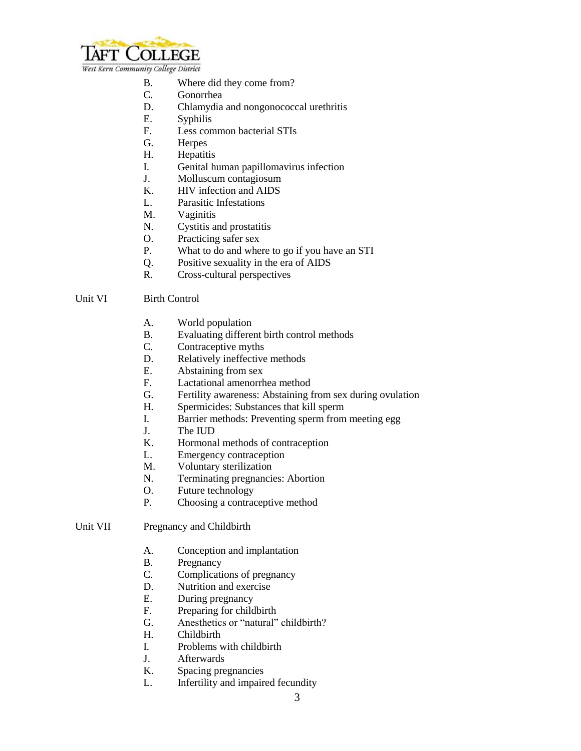

- B. Where did they come from?
- C. Gonorrhea
- D. Chlamydia and nongonococcal urethritis
- E. Syphilis
- F. Less common bacterial STIs
- G. Herpes
- H. Hepatitis
- I. Genital human papillomavirus infection
- J. Molluscum contagiosum
- K. HIV infection and AIDS
- L. Parasitic Infestations
- M. Vaginitis
- N. Cystitis and prostatitis
- O. Practicing safer sex
- P. What to do and where to go if you have an STI
- Q. Positive sexuality in the era of AIDS
- R. Cross-cultural perspectives

#### Unit VI Birth Control

- A. World population
- B. Evaluating different birth control methods
- C. Contraceptive myths
- D. Relatively ineffective methods
- E. Abstaining from sex
- F. Lactational amenorrhea method
- G. Fertility awareness: Abstaining from sex during ovulation
- H. Spermicides: Substances that kill sperm
- I. Barrier methods: Preventing sperm from meeting egg
- J. The IUD
- K. Hormonal methods of contraception
- L. Emergency contraception
- M. Voluntary sterilization
- N. Terminating pregnancies: Abortion
- O. Future technology
- P. Choosing a contraceptive method

## Unit VII Pregnancy and Childbirth

- A. Conception and implantation
- B. Pregnancy
- C. Complications of pregnancy
- D. Nutrition and exercise
- E. During pregnancy
- F. Preparing for childbirth
- G. Anesthetics or "natural" childbirth?
- H. Childbirth
- I. Problems with childbirth
- J. Afterwards
- K. Spacing pregnancies
- L. Infertility and impaired fecundity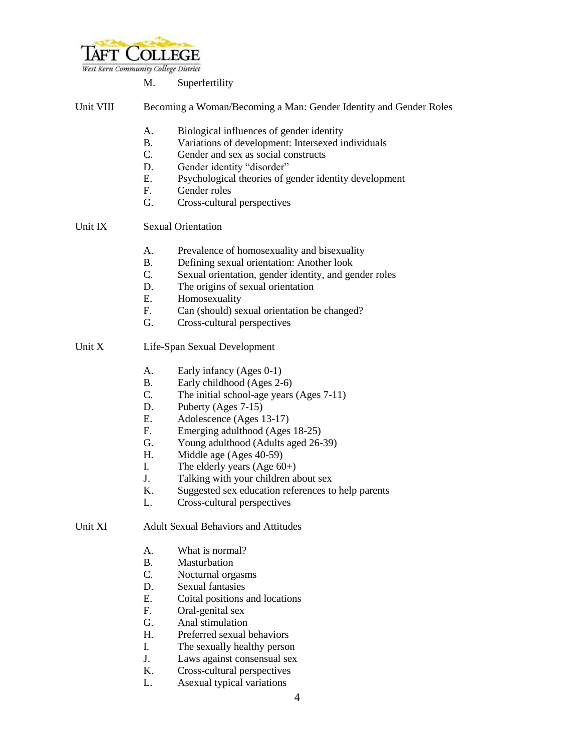

West Kern Community College District

| М. | Superfertility |  |
|----|----------------|--|
|    |                |  |

| Unit VIII |  |  | Becoming a Woman/Becoming a Man: Gender Identity and Gender Roles |
|-----------|--|--|-------------------------------------------------------------------|
|           |  |  |                                                                   |

- A. Biological influences of gender identity
- B. Variations of development: Intersexed individuals
- C. Gender and sex as social constructs
- D. Gender identity "disorder"
- E. Psychological theories of gender identity development
- F. Gender roles
- G. Cross-cultural perspectives

# Unit IX Sexual Orientation

- A. Prevalence of homosexuality and bisexuality
- B. Defining sexual orientation: Another look
- C. Sexual orientation, gender identity, and gender roles
- D. The origins of sexual orientation
- E. Homosexuality
- F. Can (should) sexual orientation be changed?
- G. Cross-cultural perspectives

### Unit X Life-Span Sexual Development

- A. Early infancy (Ages 0-1)
- B. Early childhood (Ages 2-6)
- C. The initial school-age years (Ages 7-11)
- D. Puberty (Ages 7-15)
- E. Adolescence (Ages 13-17)
- F. Emerging adulthood (Ages 18-25)
- G. Young adulthood (Adults aged 26-39)
- H. Middle age (Ages 40-59)
- I. The elderly years  $(Age 60+)$
- J. Talking with your children about sex
- K. Suggested sex education references to help parents
- L. Cross-cultural perspectives

## Unit XI Adult Sexual Behaviors and Attitudes

- A. What is normal?
- B. Masturbation
- C. Nocturnal orgasms
- D. Sexual fantasies
- E. Coital positions and locations
- F. Oral-genital sex
- G. Anal stimulation
- H. Preferred sexual behaviors
- I. The sexually healthy person
- J. Laws against consensual sex
- K. Cross-cultural perspectives
- L. Asexual typical variations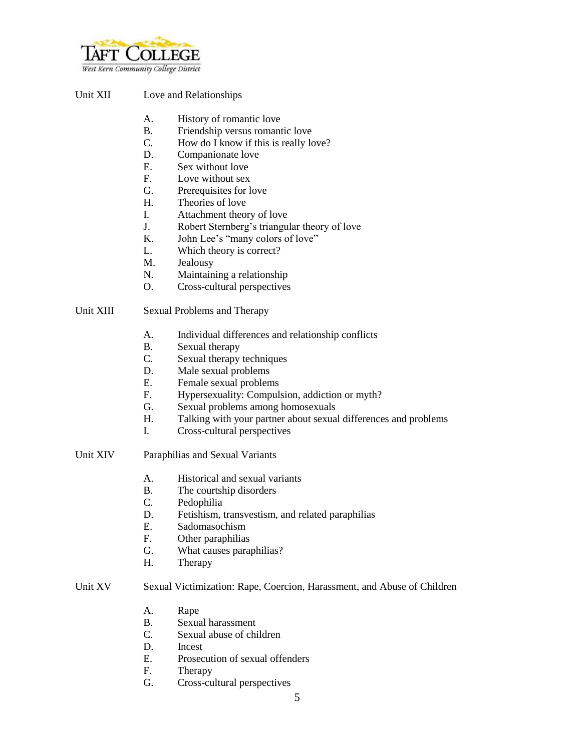

### Unit XII Love and Relationships

- A. History of romantic love
- B. Friendship versus romantic love
- C. How do I know if this is really love?
- D. Companionate love
- E. Sex without love
- F. Love without sex
- G. Prerequisites for love
- H. Theories of love
- I. Attachment theory of love
- J. Robert Sternberg's triangular theory of love
- K. John Lee's "many colors of love"
- L. Which theory is correct?
- M. Jealousy
- N. Maintaining a relationship
- O. Cross-cultural perspectives

### Unit XIII Sexual Problems and Therapy

- A. Individual differences and relationship conflicts
- B. Sexual therapy
- C. Sexual therapy techniques
- D. Male sexual problems
- E. Female sexual problems
- F. Hypersexuality: Compulsion, addiction or myth?
- G. Sexual problems among homosexuals
- H. Talking with your partner about sexual differences and problems
- I. Cross-cultural perspectives
- Unit XIV Paraphilias and Sexual Variants
	- A. Historical and sexual variants
	- B. The courtship disorders
	- C. Pedophilia
	- D. Fetishism, transvestism, and related paraphilias
	- E. Sadomasochism
	- F. Other paraphilias
	- G. What causes paraphilias?
	- H. Therapy

### Unit XV Sexual Victimization: Rape, Coercion, Harassment, and Abuse of Children

- A. Rape
- B. Sexual harassment
- C. Sexual abuse of children
- D. Incest
- E. Prosecution of sexual offenders
- F. Therapy
- G. Cross-cultural perspectives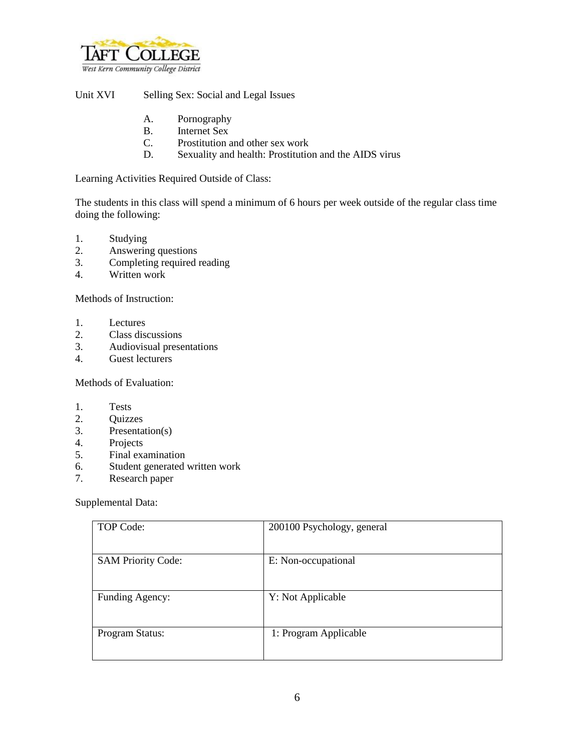

Unit XVI Selling Sex: Social and Legal Issues

- A. Pornography
- B. Internet Sex
- C. Prostitution and other sex work
- D. Sexuality and health: Prostitution and the AIDS virus

Learning Activities Required Outside of Class:

The students in this class will spend a minimum of 6 hours per week outside of the regular class time doing the following:

- 1. Studying
- 2. Answering questions
- 3. Completing required reading
- 4. Written work

Methods of Instruction:

- 1. Lectures
- 2. Class discussions
- 3. Audiovisual presentations
- 4. Guest lecturers

Methods of Evaluation:

- 1. Tests
- 2. Quizzes
- 3. Presentation(s)
- 4. Projects<br>5. Final example
- 5. Final examination
- 6. Student generated written work
- 7. Research paper

Supplemental Data:

| TOP Code:                 | 200100 Psychology, general |
|---------------------------|----------------------------|
| <b>SAM Priority Code:</b> | E: Non-occupational        |
| Funding Agency:           | Y: Not Applicable          |
| Program Status:           | 1: Program Applicable      |